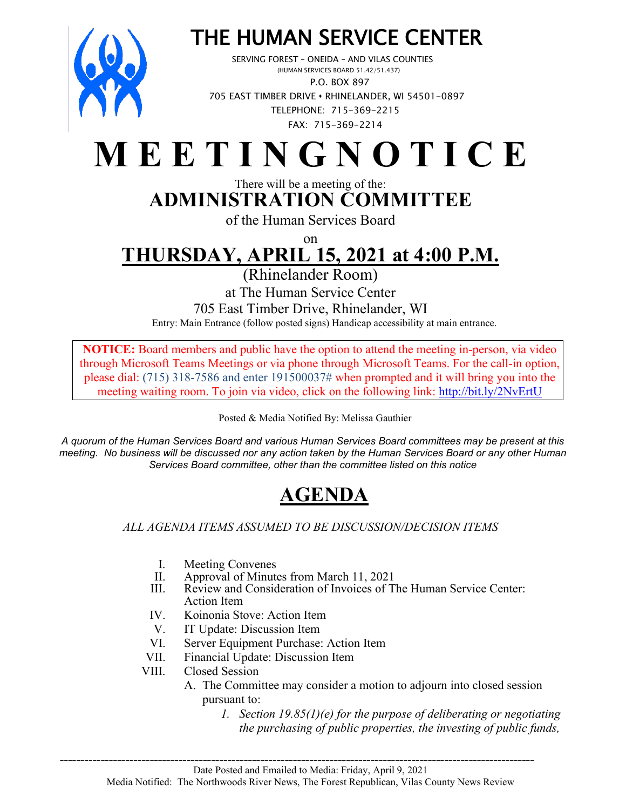

# THE HUMAN SERVICE CENTER<br>SERVING FOREST – ONEIDA – AND VILAS COUNTIES<br>(HUMAN SERVICES BOARD 51.42/51.437)

 P.O. BOX 897 705 EAST TIMBER DRIVE **•** RHINELANDER, WI 54501-0897 TELEPHONE: 715-369-2215 FAX: 715-369-2214

## **M E E T I N G N O T I C E**

#### There will be a meeting of the: **ADMINISTRATION COMMITTEE**

of the Human Services Board

on

## **THURSDAY, APRIL 15, 2021 at 4:00 P.M.**

(Rhinelander Room)

at The Human Service Center

705 East Timber Drive, Rhinelander, WI

Entry: Main Entrance (follow posted signs) Handicap accessibility at main entrance.

**NOTICE:** Board members and public have the option to attend the meeting in-person, via video through Microsoft Teams Meetings or via phone through Microsoft Teams. For the call-in option, please dial: (715) 318-7586 and enter 191500037# when prompted and it will bring you into the meeting waiting room. To join via video, click on the following link: <http://bit.ly/2NvErtU>

Posted & Media Notified By: Melissa Gauthier

*A quorum of the Human Services Board and various Human Services Board committees may be present at this meeting. No business will be discussed nor any action taken by the Human Services Board or any other Human Services Board committee, other than the committee listed on this notice*

### **AGENDA**

*ALL AGENDA ITEMS ASSUMED TO BE DISCUSSION/DECISION ITEMS*

- I. Meeting Convenes<br>II. Approval of Minute
- Approval of Minutes from March 11, 2021
- III. Review and Consideration of Invoices of The Human Service Center: Action Item
- IV. Koinonia Stove: Action Item
- V. IT Update: Discussion Item
- VI. Server Equipment Purchase: Action Item
- VII. Financial Update: Discussion Item
- VIII. Closed Session
	- A. The Committee may consider a motion to adjourn into closed session pursuant to:
		- *1. Section 19.85(1)(e) for the purpose of deliberating or negotiating the purchasing of public properties, the investing of public funds,*

\_\_\_\_\_\_\_\_\_\_\_\_\_\_\_\_\_\_\_\_\_\_\_\_\_\_\_\_\_\_\_\_\_\_\_\_\_\_\_\_\_\_\_\_\_\_\_\_\_\_\_\_\_\_\_\_\_\_\_\_\_\_\_\_\_\_\_\_\_\_\_\_\_\_\_\_\_\_\_\_\_\_\_\_\_\_\_\_\_\_\_\_\_\_\_\_\_\_\_\_\_\_\_\_\_\_\_\_\_\_\_\_\_\_\_\_